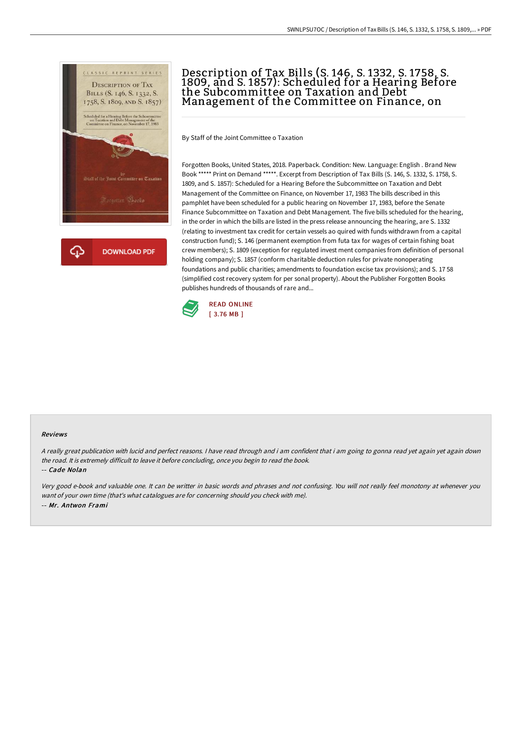

# Description of Tax Bills (S. 146, S. 1332, S. 1758, S. 1809, and S. 1857): Scheduled for a Hearing Before the Subcommittee on Taxation and Debt Management of the Committee on Finance, on

By Staff of the Joint Committee o Taxation

Forgotten Books, United States, 2018. Paperback. Condition: New. Language: English . Brand New Book \*\*\*\*\* Print on Demand \*\*\*\*\*. Excerpt from Description of Tax Bills (S. 146, S. 1332, S. 1758, S. 1809, and S. 1857): Scheduled for a Hearing Before the Subcommittee on Taxation and Debt Management of the Committee on Finance, on November 17, 1983 The bills described in this pamphlet have been scheduled for a public hearing on November 17, 1983, before the Senate Finance Subcommittee on Taxation and Debt Management. The five bills scheduled for the hearing, in the order in which the bills are listed in the press release announcing the hearing, are S. 1332 (relating to investment tax credit for certain vessels ao quired with funds withdrawn from a capital construction fund); S. 146 (permanent exemption from futa tax for wages of certain fishing boat crew members); S. 1809 (exception for regulated invest ment companies from definition of personal holding company); S. 1857 (conform charitable deduction rules for private nonoperating foundations and public charities; amendments to foundation excise tax provisions); and S. 17 58 (simplified cost recovery system for per sonal property). About the Publisher Forgotten Books publishes hundreds of thousands of rare and...



#### Reviews

<sup>A</sup> really great publication with lucid and perfect reasons. <sup>I</sup> have read through and i am confident that i am going to gonna read yet again yet again down the road. It is extremely difficult to leave it before concluding, once you begin to read the book.

-- Cade Nolan

Very good e-book and valuable one. It can be writter in basic words and phrases and not confusing. You will not really feel monotony at whenever you want of your own time (that's what catalogues are for concerning should you check with me). -- Mr. Antwon Frami